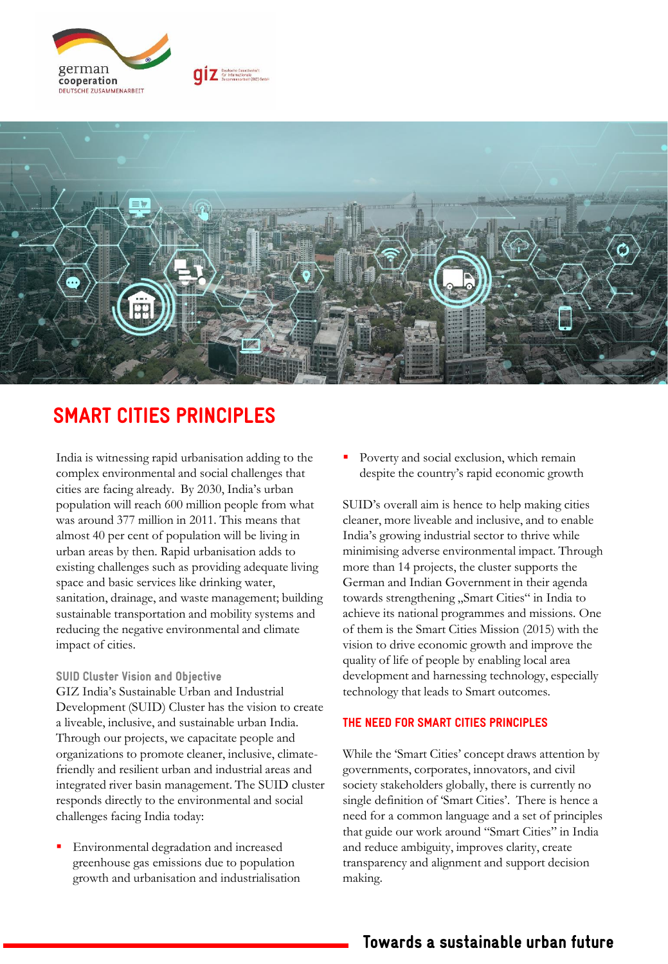



# SMART CITIES PRINCIPLES

India is witnessing rapid urbanisation adding to the complex environmental and social challenges that cities are facing already. By 2030, India's urban population will reach 600 million people from what was around 377 million in 2011. This means that almost 40 per cent of population will be living in urban areas by then. Rapid urbanisation adds to existing challenges such as providing adequate living space and basic services like drinking water, sanitation, drainage, and waste management; building sustainable transportation and mobility systems and reducing the negative environmental and climate impact of cities.

#### SUID Cluster Vision and Objective

GIZ India's Sustainable Urban and Industrial Development (SUID) Cluster has the vision to create a liveable, inclusive, and sustainable urban India. Through our projects, we capacitate people and organizations to promote cleaner, inclusive, climatefriendly and resilient urban and industrial areas and integrated river basin management. The SUID cluster responds directly to the environmental and social challenges facing India today:

Environmental degradation and increased greenhouse gas emissions due to population growth and urbanisation and industrialisation Poverty and social exclusion, which remain despite the country's rapid economic growth

SUID's overall aim is hence to help making cities cleaner, more liveable and inclusive, and to enable India's growing industrial sector to thrive while minimising adverse environmental impact. Through more than 14 projects, the cluster supports the German and Indian Government in their agenda towards strengthening "Smart Cities" in India to achieve its national programmes and missions. One of them is the Smart Cities Mission (2015) with the vision to drive economic growth and improve the quality of life of people by enabling local area development and harnessing technology, especially technology that leads to Smart outcomes.

### THE NEED FOR SMART CITIES PRINCIPLES

While the 'Smart Cities' concept draws attention by governments, corporates, innovators, and civil society stakeholders globally, there is currently no single definition of 'Smart Cities'. There is hence a need for a common language and a set of principles that guide our work around "Smart Cities" in India and reduce ambiguity, improves clarity, create transparency and alignment and support decision making.

## Towards a sustainable urban future